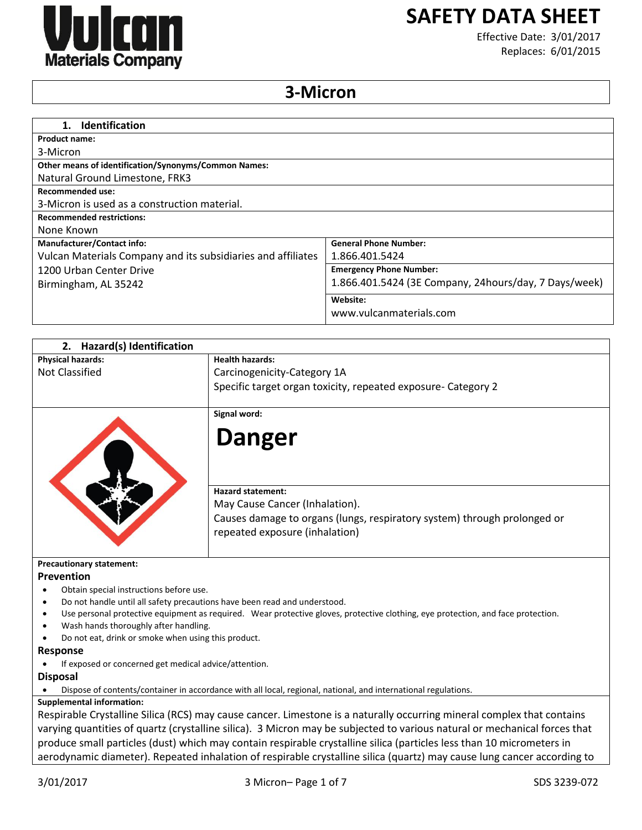

# **SAFETY DATA SHEET**

Effective Date: 3/01/2017 Replaces: 6/01/2015

# **3-Micron**

| <b>Identification</b><br>1.                                  |                                                        |
|--------------------------------------------------------------|--------------------------------------------------------|
| <b>Product name:</b>                                         |                                                        |
| 3-Micron                                                     |                                                        |
| <b>Other means of identification/Synonyms/Common Names:</b>  |                                                        |
| Natural Ground Limestone, FRK3                               |                                                        |
| <b>Recommended use:</b>                                      |                                                        |
| 3-Micron is used as a construction material.                 |                                                        |
| <b>Recommended restrictions:</b>                             |                                                        |
| None Known                                                   |                                                        |
| <b>Manufacturer/Contact info:</b>                            | <b>General Phone Number:</b>                           |
| Vulcan Materials Company and its subsidiaries and affiliates | 1.866.401.5424                                         |
| 1200 Urban Center Drive                                      | <b>Emergency Phone Number:</b>                         |
| Birmingham, AL 35242                                         | 1.866.401.5424 (3E Company, 24 hours/day, 7 Days/week) |
|                                                              | Website:                                               |
|                                                              | www.vulcanmaterials.com                                |

| 2. Hazard(s) Identification                                                            |                                                                                                                                  |
|----------------------------------------------------------------------------------------|----------------------------------------------------------------------------------------------------------------------------------|
| <b>Physical hazards:</b>                                                               | <b>Health hazards:</b>                                                                                                           |
| <b>Not Classified</b>                                                                  | Carcinogenicity-Category 1A                                                                                                      |
|                                                                                        | Specific target organ toxicity, repeated exposure- Category 2                                                                    |
|                                                                                        |                                                                                                                                  |
|                                                                                        | Signal word:                                                                                                                     |
|                                                                                        |                                                                                                                                  |
|                                                                                        | <b>Danger</b>                                                                                                                    |
|                                                                                        |                                                                                                                                  |
|                                                                                        |                                                                                                                                  |
|                                                                                        | <b>Hazard statement:</b>                                                                                                         |
|                                                                                        | May Cause Cancer (Inhalation).                                                                                                   |
|                                                                                        | Causes damage to organs (lungs, respiratory system) through prolonged or                                                         |
|                                                                                        | repeated exposure (inhalation)                                                                                                   |
|                                                                                        |                                                                                                                                  |
|                                                                                        |                                                                                                                                  |
| <b>Precautionary statement:</b><br>Prevention                                          |                                                                                                                                  |
| Obtain special instructions before use.<br>$\bullet$                                   |                                                                                                                                  |
| Do not handle until all safety precautions have been read and understood.<br>$\bullet$ |                                                                                                                                  |
| ٠                                                                                      | Use personal protective equipment as required. Wear protective gloves, protective clothing, eye protection, and face protection. |
| Wash hands thoroughly after handling.                                                  |                                                                                                                                  |
| Do not eat, drink or smoke when using this product.                                    |                                                                                                                                  |
| <b>Response</b>                                                                        |                                                                                                                                  |
| If exposed or concerned get medical advice/attention.                                  |                                                                                                                                  |
| <b>Disposal</b>                                                                        |                                                                                                                                  |
|                                                                                        | Dispose of contents/container in accordance with all local, regional, national, and international regulations.                   |
| <b>Supplemental information:</b>                                                       |                                                                                                                                  |
|                                                                                        | Respirable Crystalline Silica (RCS) may cause cancer. Limestone is a naturally occurring mineral complex that contains           |
|                                                                                        | varying quantities of quartz (crystalline silica). 3 Micron may be subjected to various natural or mechanical forces that        |
|                                                                                        | produce small particles (dust) which may contain respirable crystalline silica (particles less than 10 micrometers in            |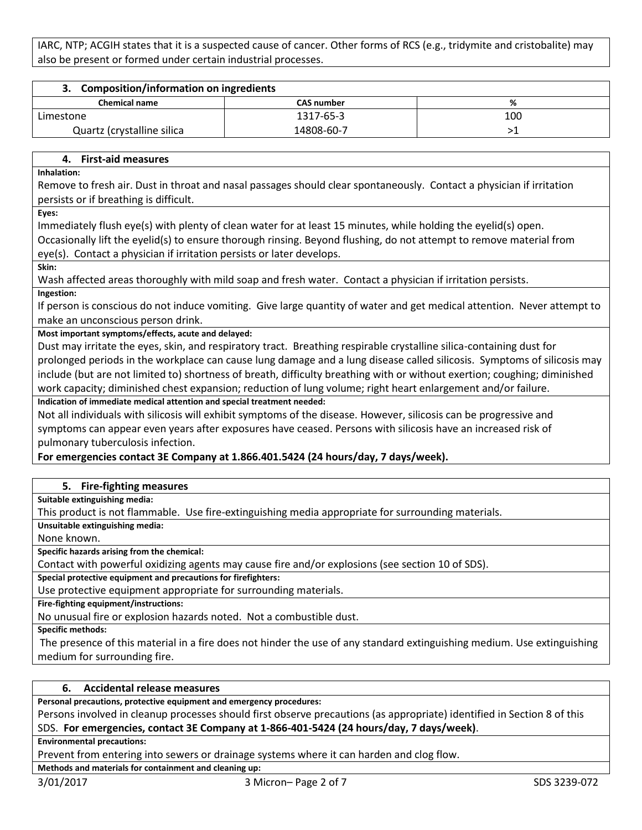IARC, NTP; ACGIH states that it is a suspected cause of cancer. Other forms of RCS (e.g., tridymite and cristobalite) may also be present or formed under certain industrial processes.

| 3. Composition/information on ingredients |                   |     |
|-------------------------------------------|-------------------|-----|
| <b>Chemical name</b>                      | <b>CAS number</b> | ℅   |
| Limestone                                 | 1317-65-3         | 100 |
| Quartz (crystalline silica                | 14808-60-7        |     |

#### **4. First-aid measures**

**Inhalation:**

Remove to fresh air. Dust in throat and nasal passages should clear spontaneously. Contact a physician if irritation persists or if breathing is difficult.

**Eyes:**

Immediately flush eye(s) with plenty of clean water for at least 15 minutes, while holding the eyelid(s) open.

Occasionally lift the eyelid(s) to ensure thorough rinsing. Beyond flushing, do not attempt to remove material from eye(s). Contact a physician if irritation persists or later develops.

**Skin:**

Wash affected areas thoroughly with mild soap and fresh water. Contact a physician if irritation persists.

**Ingestion:**

If person is conscious do not induce vomiting. Give large quantity of water and get medical attention. Never attempt to make an unconscious person drink.

**Most important symptoms/effects, acute and delayed:**

Dust may irritate the eyes, skin, and respiratory tract. Breathing respirable crystalline silica-containing dust for prolonged periods in the workplace can cause lung damage and a lung disease called silicosis. Symptoms of silicosis may include (but are not limited to) shortness of breath, difficulty breathing with or without exertion; coughing; diminished work capacity; diminished chest expansion; reduction of lung volume; right heart enlargement and/or failure.

**Indication of immediate medical attention and special treatment needed:**

Not all individuals with silicosis will exhibit symptoms of the disease. However, silicosis can be progressive and symptoms can appear even years after exposures have ceased. Persons with silicosis have an increased risk of pulmonary tuberculosis infection.

# **For emergencies contact 3E Company at 1.866.401.5424 (24 hours/day, 7 days/week).**

# **5. Fire-fighting measures**

**Suitable extinguishing media:**

This product is not flammable. Use fire-extinguishing media appropriate for surrounding materials.

**Unsuitable extinguishing media:**

None known.

**Specific hazards arising from the chemical:**

Contact with powerful oxidizing agents may cause fire and/or explosions (see section 10 of SDS).

**Special protective equipment and precautions for firefighters:**

Use protective equipment appropriate for surrounding materials.

**Fire-fighting equipment/instructions:**

No unusual fire or explosion hazards noted. Not a combustible dust.

**Specific methods:**

The presence of this material in a fire does not hinder the use of any standard extinguishing medium. Use extinguishing medium for surrounding fire.

# **6. Accidental release measures**

**Personal precautions, protective equipment and emergency procedures:**

Persons involved in cleanup processes should first observe precautions (as appropriate) identified in Section 8 of this SDS. **For emergencies, contact 3E Company at 1-866-401-5424 (24 hours/day, 7 days/week)**.

**Environmental precautions:**

Prevent from entering into sewers or drainage systems where it can harden and clog flow.

**Methods and materials for containment and cleaning up:**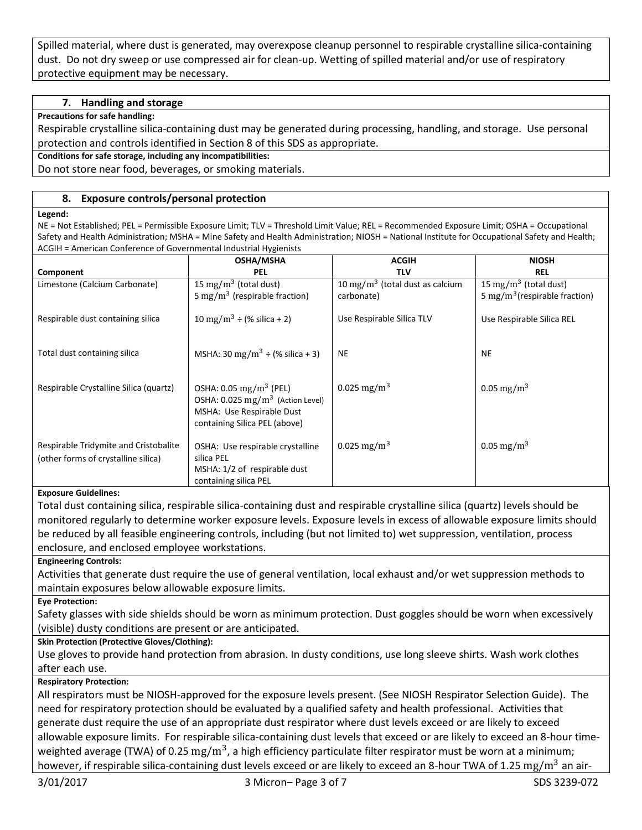Spilled material, where dust is generated, may overexpose cleanup personnel to respirable crystalline silica-containing dust. Do not dry sweep or use compressed air for clean-up. Wetting of spilled material and/or use of respiratory protective equipment may be necessary.

### **7. Handling and storage**

#### **Precautions for safe handling:**

Respirable crystalline silica-containing dust may be generated during processing, handling, and storage. Use personal protection and controls identified in Section 8 of this SDS as appropriate.

**Conditions for safe storage, including any incompatibilities:**

Do not store near food, beverages, or smoking materials.

#### **8. Exposure controls/personal protection**

#### **Legend:**

NE = Not Established; PEL = Permissible Exposure Limit; TLV = Threshold Limit Value; REL = Recommended Exposure Limit; OSHA = Occupational Safety and Health Administration; MSHA = Mine Safety and Health Administration; NIOSH = National Institute for Occupational Safety and Health; ACGIH = American Conference of Governmental Industrial Hygienists

|                                                                              | <b>OSHA/MSHA</b>                                                                                                                                  | <b>ACGIH</b>                                | <b>NIOSH</b>                              |
|------------------------------------------------------------------------------|---------------------------------------------------------------------------------------------------------------------------------------------------|---------------------------------------------|-------------------------------------------|
| Component                                                                    | <b>PEL</b>                                                                                                                                        | <b>TLV</b>                                  | <b>REL</b>                                |
| Limestone (Calcium Carbonate)                                                | 15 mg/m <sup>3</sup> (total dust)                                                                                                                 | 10 mg/m <sup>3</sup> (total dust as calcium | 15 mg/m <sup>3</sup> (total dust)         |
|                                                                              | 5 mg/m <sup>3</sup> (respirable fraction)                                                                                                         | carbonate)                                  | 5 mg/m <sup>3</sup> (respirable fraction) |
| Respirable dust containing silica                                            | 10 mg/m <sup>3</sup> ÷ (% silica + 2)                                                                                                             | Use Respirable Silica TLV                   | Use Respirable Silica REL                 |
| Total dust containing silica                                                 | MSHA: 30 mg/m <sup>3</sup> ÷ (% silica + 3)                                                                                                       | <b>NE</b>                                   | <b>NE</b>                                 |
| Respirable Crystalline Silica (quartz)                                       | OSHA: $0.05 \text{ mg/m}^3$ (PEL)<br>OSHA: $0.025$ mg/m <sup>3</sup> (Action Level)<br>MSHA: Use Respirable Dust<br>containing Silica PEL (above) | 0.025 mg/m <sup>3</sup>                     | 0.05 mg/m <sup>3</sup>                    |
| Respirable Tridymite and Cristobalite<br>(other forms of crystalline silica) | OSHA: Use respirable crystalline<br>silica PEL<br>MSHA: 1/2 of respirable dust<br>containing silica PEL                                           | 0.025 mg/m <sup>3</sup>                     | 0.05 mg/m <sup>3</sup>                    |

#### **Exposure Guidelines:**

Total dust containing silica, respirable silica-containing dust and respirable crystalline silica (quartz) levels should be monitored regularly to determine worker exposure levels. Exposure levels in excess of allowable exposure limits should be reduced by all feasible engineering controls, including (but not limited to) wet suppression, ventilation, process enclosure, and enclosed employee workstations.

**Engineering Controls:**

Activities that generate dust require the use of general ventilation, local exhaust and/or wet suppression methods to maintain exposures below allowable exposure limits.

**Eye Protection:**

Safety glasses with side shields should be worn as minimum protection. Dust goggles should be worn when excessively (visible) dusty conditions are present or are anticipated.

#### **Skin Protection (Protective Gloves/Clothing):**

Use gloves to provide hand protection from abrasion. In dusty conditions, use long sleeve shirts. Wash work clothes after each use.

#### **Respiratory Protection:**

All respirators must be NIOSH-approved for the exposure levels present. (See NIOSH Respirator Selection Guide). The need for respiratory protection should be evaluated by a qualified safety and health professional. Activities that generate dust require the use of an appropriate dust respirator where dust levels exceed or are likely to exceed allowable exposure limits. For respirable silica-containing dust levels that exceed or are likely to exceed an 8-hour timeweighted average (TWA) of 0.25  $\rm mg/m^3$ , a high efficiency particulate filter respirator must be worn at a minimum; however, if respirable silica-containing dust levels exceed or are likely to exceed an 8-hour TWA of 1.25 mg/m<sup>3</sup> an air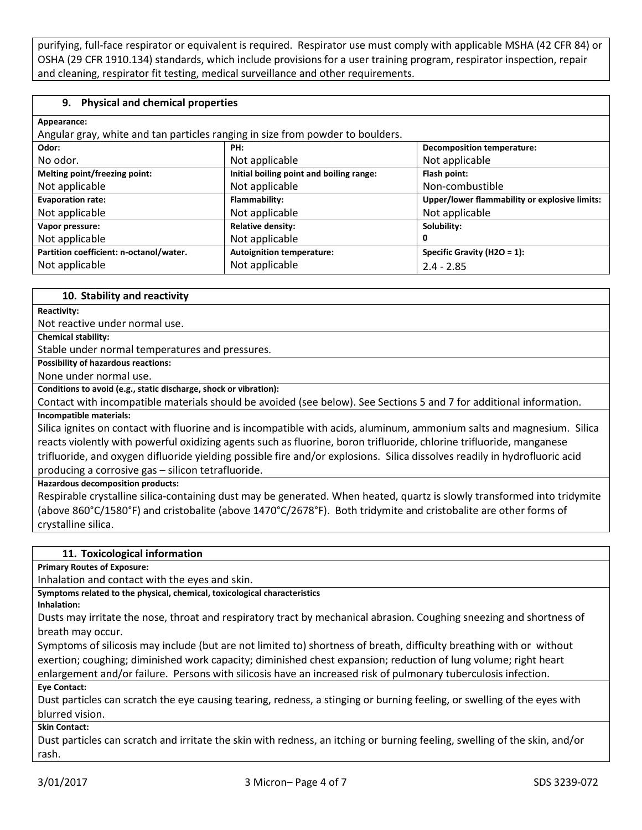purifying, full-face respirator or equivalent is required. Respirator use must comply with applicable MSHA (42 CFR 84) or OSHA (29 CFR 1910.134) standards, which include provisions for a user training program, respirator inspection, repair and cleaning, respirator fit testing, medical surveillance and other requirements.

#### **9. Physical and chemical properties**

| Appearance:                                                                    |                                          |                                               |
|--------------------------------------------------------------------------------|------------------------------------------|-----------------------------------------------|
| Angular gray, white and tan particles ranging in size from powder to boulders. |                                          |                                               |
| Odor:                                                                          | PH:                                      | <b>Decomposition temperature:</b>             |
| No odor.                                                                       | Not applicable                           | Not applicable                                |
| Melting point/freezing point:                                                  | Initial boiling point and boiling range: | Flash point:                                  |
| Not applicable                                                                 | Not applicable                           | Non-combustible                               |
| <b>Evaporation rate:</b>                                                       | Flammability:                            | Upper/lower flammability or explosive limits: |
| Not applicable                                                                 | Not applicable                           | Not applicable                                |
| Vapor pressure:                                                                | <b>Relative density:</b>                 | Solubility:                                   |
| Not applicable                                                                 | Not applicable                           |                                               |
| Partition coefficient: n-octanol/water.                                        | <b>Autoignition temperature:</b>         | Specific Gravity (H2O = $1$ ):                |
| Not applicable                                                                 | Not applicable                           | $2.4 - 2.85$                                  |

#### **10. Stability and reactivity**

**Reactivity:**

Not reactive under normal use.

**Chemical stability:**

Stable under normal temperatures and pressures.

**Possibility of hazardous reactions:**

None under normal use.

#### **Conditions to avoid (e.g., static discharge, shock or vibration):**

Contact with incompatible materials should be avoided (see below). See Sections 5 and 7 for additional information. **Incompatible materials:**

Silica ignites on contact with fluorine and is incompatible with acids, aluminum, ammonium salts and magnesium. Silica reacts violently with powerful oxidizing agents such as fluorine, boron trifluoride, chlorine trifluoride, manganese trifluoride, and oxygen difluoride yielding possible fire and/or explosions. Silica dissolves readily in hydrofluoric acid producing a corrosive gas – silicon tetrafluoride.

**Hazardous decomposition products:**

Respirable crystalline silica-containing dust may be generated. When heated, quartz is slowly transformed into tridymite (above 860°C/1580°F) and cristobalite (above 1470°C/2678°F). Both tridymite and cristobalite are other forms of crystalline silica.

#### **11. Toxicological information**

**Primary Routes of Exposure:**

Inhalation and contact with the eyes and skin.

**Symptoms related to the physical, chemical, toxicological characteristics**

**Inhalation:**

Dusts may irritate the nose, throat and respiratory tract by mechanical abrasion. Coughing sneezing and shortness of breath may occur.

Symptoms of silicosis may include (but are not limited to) shortness of breath, difficulty breathing with or without exertion; coughing; diminished work capacity; diminished chest expansion; reduction of lung volume; right heart enlargement and/or failure. Persons with silicosis have an increased risk of pulmonary tuberculosis infection.

**Eye Contact:**

Dust particles can scratch the eye causing tearing, redness, a stinging or burning feeling, or swelling of the eyes with blurred vision.

**Skin Contact:**

Dust particles can scratch and irritate the skin with redness, an itching or burning feeling, swelling of the skin, and/or rash.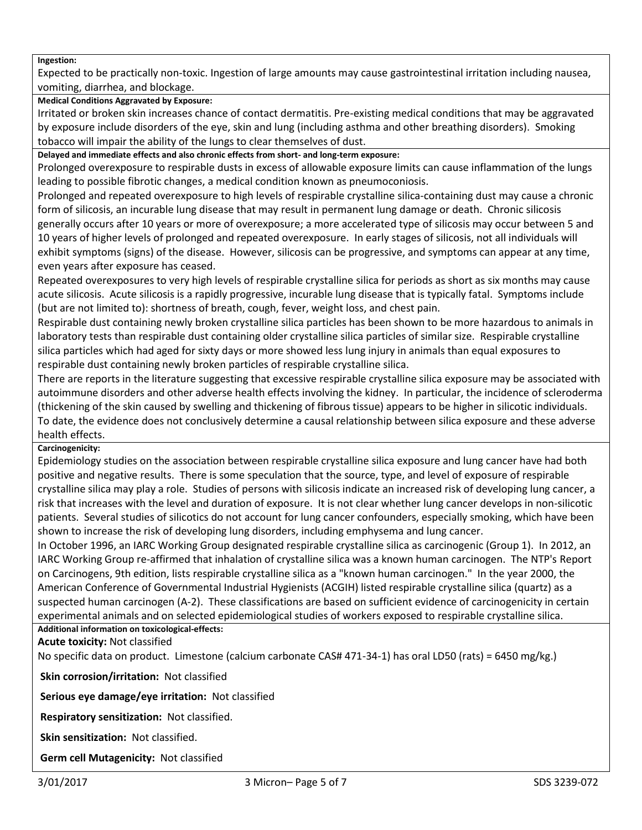#### **Ingestion:**

Expected to be practically non-toxic. Ingestion of large amounts may cause gastrointestinal irritation including nausea, vomiting, diarrhea, and blockage.

#### **Medical Conditions Aggravated by Exposure:**

Irritated or broken skin increases chance of contact dermatitis. Pre-existing medical conditions that may be aggravated by exposure include disorders of the eye, skin and lung (including asthma and other breathing disorders). Smoking tobacco will impair the ability of the lungs to clear themselves of dust.

**Delayed and immediate effects and also chronic effects from short- and long-term exposure:**

Prolonged overexposure to respirable dusts in excess of allowable exposure limits can cause inflammation of the lungs leading to possible fibrotic changes, a medical condition known as pneumoconiosis.

Prolonged and repeated overexposure to high levels of respirable crystalline silica-containing dust may cause a chronic form of silicosis, an incurable lung disease that may result in permanent lung damage or death. Chronic silicosis generally occurs after 10 years or more of overexposure; a more accelerated type of silicosis may occur between 5 and 10 years of higher levels of prolonged and repeated overexposure. In early stages of silicosis, not all individuals will exhibit symptoms (signs) of the disease. However, silicosis can be progressive, and symptoms can appear at any time, even years after exposure has ceased.

Repeated overexposures to very high levels of respirable crystalline silica for periods as short as six months may cause acute silicosis. Acute silicosis is a rapidly progressive, incurable lung disease that is typically fatal. Symptoms include (but are not limited to): shortness of breath, cough, fever, weight loss, and chest pain.

Respirable dust containing newly broken crystalline silica particles has been shown to be more hazardous to animals in laboratory tests than respirable dust containing older crystalline silica particles of similar size. Respirable crystalline silica particles which had aged for sixty days or more showed less lung injury in animals than equal exposures to respirable dust containing newly broken particles of respirable crystalline silica.

There are reports in the literature suggesting that excessive respirable crystalline silica exposure may be associated with autoimmune disorders and other adverse health effects involving the kidney. In particular, the incidence of scleroderma (thickening of the skin caused by swelling and thickening of fibrous tissue) appears to be higher in silicotic individuals. To date, the evidence does not conclusively determine a causal relationship between silica exposure and these adverse health effects.

#### **Carcinogenicity:**

Epidemiology studies on the association between respirable crystalline silica exposure and lung cancer have had both positive and negative results. There is some speculation that the source, type, and level of exposure of respirable crystalline silica may play a role. Studies of persons with silicosis indicate an increased risk of developing lung cancer, a risk that increases with the level and duration of exposure. It is not clear whether lung cancer develops in non-silicotic patients. Several studies of silicotics do not account for lung cancer confounders, especially smoking, which have been shown to increase the risk of developing lung disorders, including emphysema and lung cancer.

In October 1996, an IARC Working Group designated respirable crystalline silica as carcinogenic (Group 1). In 2012, an IARC Working Group re-affirmed that inhalation of crystalline silica was a known human carcinogen. The NTP's Report on Carcinogens, 9th edition, lists respirable crystalline silica as a "known human carcinogen." In the year 2000, the American Conference of Governmental Industrial Hygienists (ACGIH) listed respirable crystalline silica (quartz) as a suspected human carcinogen (A-2). These classifications are based on sufficient evidence of carcinogenicity in certain experimental animals and on selected epidemiological studies of workers exposed to respirable crystalline silica.

#### **Additional information on toxicological-effects:**

**Acute toxicity:** Not classified

No specific data on product. Limestone (calcium carbonate CAS# 471-34-1) has oral LD50 (rats) = 6450 mg/kg.)

**Skin corrosion/irritation:** Not classified

**Serious eye damage/eye irritation:** Not classified

**Respiratory sensitization:** Not classified.

**Skin sensitization:** Not classified.

**Germ cell Mutagenicity:** Not classified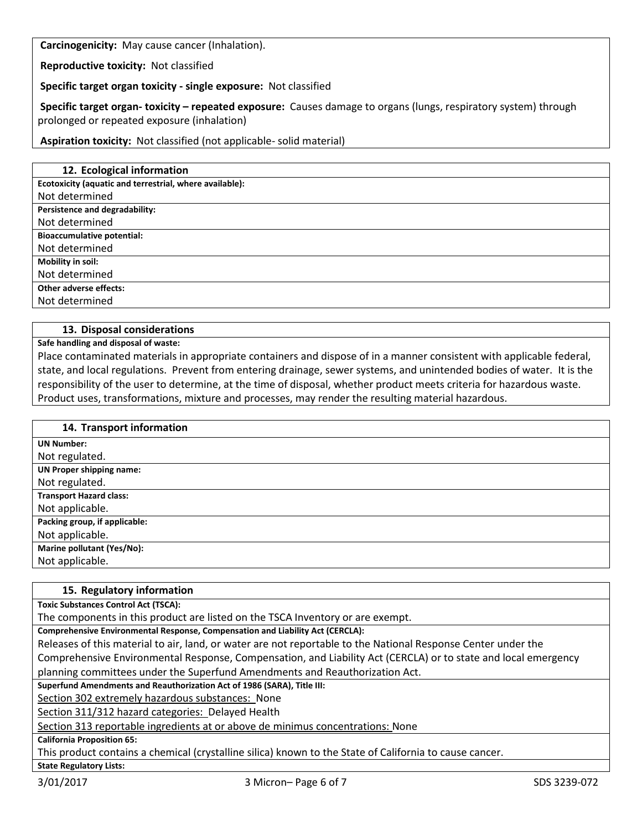**Carcinogenicity:** May cause cancer (Inhalation).

**Reproductive toxicity:** Not classified

**Specific target organ toxicity - single exposure:** Not classified

**Specific target organ- toxicity – repeated exposure:** Causes damage to organs (lungs, respiratory system) through prolonged or repeated exposure (inhalation)

**Aspiration toxicity:** Not classified (not applicable- solid material)

| 12. Ecological information                              |
|---------------------------------------------------------|
| Ecotoxicity (aquatic and terrestrial, where available): |
| Not determined                                          |
| Persistence and degradability:                          |
| Not determined                                          |
| <b>Bioaccumulative potential:</b>                       |
| Not determined                                          |
| Mobility in soil:                                       |
| Not determined                                          |
| Other adverse effects:                                  |
| Not determined                                          |
|                                                         |

#### **13. Disposal considerations**

**Safe handling and disposal of waste:**

Place contaminated materials in appropriate containers and dispose of in a manner consistent with applicable federal, state, and local regulations. Prevent from entering drainage, sewer systems, and unintended bodies of water. It is the responsibility of the user to determine, at the time of disposal, whether product meets criteria for hazardous waste. Product uses, transformations, mixture and processes, may render the resulting material hazardous.

| 14. Transport information         |
|-----------------------------------|
| <b>UN Number:</b>                 |
| Not regulated.                    |
| <b>UN Proper shipping name:</b>   |
| Not regulated.                    |
| <b>Transport Hazard class:</b>    |
| Not applicable.                   |
| Packing group, if applicable:     |
| Not applicable.                   |
| <b>Marine pollutant (Yes/No):</b> |
| Not applicable.                   |
|                                   |

#### **15. Regulatory information**

**Toxic Substances Control Act (TSCA):**

The components in this product are listed on the TSCA Inventory or are exempt.

**Comprehensive Environmental Response, Compensation and Liability Act (CERCLA):**

Releases of this material to air, land, or water are not reportable to the National Response Center under the Comprehensive Environmental Response, Compensation, and Liability Act (CERCLA) or to state and local emergency planning committees under the Superfund Amendments and Reauthorization Act.

**Superfund Amendments and Reauthorization Act of 1986 (SARA), Title III:**

Section 302 extremely hazardous substances: None

Section 311/312 hazard categories: Delayed Health

Section 313 reportable ingredients at or above de minimus concentrations: None

**California Proposition 65:**

**State Regulatory Lists:**

This product contains a chemical (crystalline silica) known to the State of California to cause cancer.